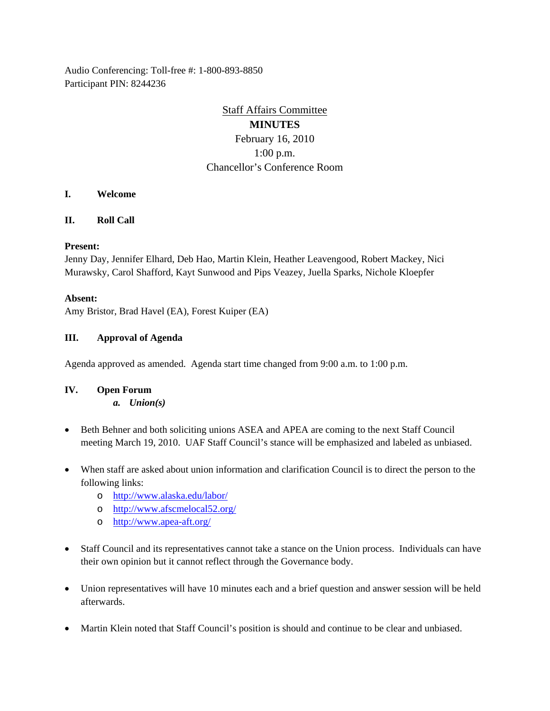Audio Conferencing: Toll-free #: 1-800-893-8850 Participant PIN: 8244236

# Staff Affairs Committee

## **MINUTES** February 16, 2010 1:00 p.m. Chancellor's Conference Room

- **I. Welcome**
- **II. Roll Call**

### **Present:**

Jenny Day, Jennifer Elhard, Deb Hao, Martin Klein, Heather Leavengood, Robert Mackey, Nici Murawsky, Carol Shafford, Kayt Sunwood and Pips Veazey, Juella Sparks, Nichole Kloepfer

### **Absent:**

Amy Bristor, Brad Havel (EA), Forest Kuiper (EA)

### **III. Approval of Agenda**

Agenda approved as amended. Agenda start time changed from 9:00 a.m. to 1:00 p.m.

## **IV. Open Forum**

*a. Union(s)*

- Beth Behner and both soliciting unions ASEA and APEA are coming to the next Staff Council meeting March 19, 2010. UAF Staff Council's stance will be emphasized and labeled as unbiased.
- When staff are asked about union information and clarification Council is to direct the person to the following links:
	- o <http://www.alaska.edu/labor/>
	- o <http://www.afscmelocal52.org/>
	- o <http://www.apea-aft.org/>
- Staff Council and its representatives cannot take a stance on the Union process. Individuals can have their own opinion but it cannot reflect through the Governance body.
- Union representatives will have 10 minutes each and a brief question and answer session will be held afterwards.
- Martin Klein noted that Staff Council's position is should and continue to be clear and unbiased.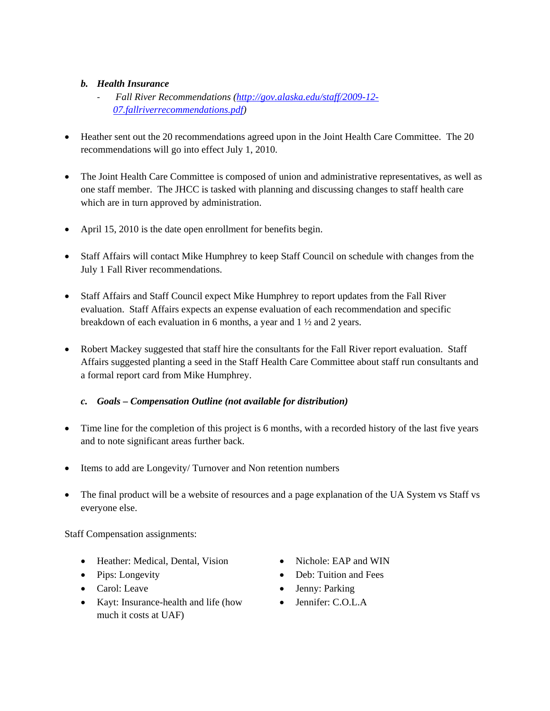## *b. Health Insurance*

- *Fall River Recommendations [\(http://gov.alaska.edu/staff/2009-12-](http://gov.alaska.edu/staff/2009-12-07.fallriverrecommendations.pdf) [07.fallriverrecommendations.pdf\)](http://gov.alaska.edu/staff/2009-12-07.fallriverrecommendations.pdf)*
- Heather sent out the 20 recommendations agreed upon in the Joint Health Care Committee. The 20 recommendations will go into effect July 1, 2010.
- The Joint Health Care Committee is composed of union and administrative representatives, as well as one staff member. The JHCC is tasked with planning and discussing changes to staff health care which are in turn approved by administration.
- April 15, 2010 is the date open enrollment for benefits begin.
- Staff Affairs will contact Mike Humphrey to keep Staff Council on schedule with changes from the July 1 Fall River recommendations.
- Staff Affairs and Staff Council expect Mike Humphrey to report updates from the Fall River evaluation. Staff Affairs expects an expense evaluation of each recommendation and specific breakdown of each evaluation in 6 months, a year and 1 ½ and 2 years.
- Robert Mackey suggested that staff hire the consultants for the Fall River report evaluation. Staff Affairs suggested planting a seed in the Staff Health Care Committee about staff run consultants and a formal report card from Mike Humphrey.

## *c. Goals – Compensation Outline (not available for distribution)*

- Time line for the completion of this project is 6 months, with a recorded history of the last five years and to note significant areas further back.
- Items to add are Longevity/ Turnover and Non retention numbers
- The final product will be a website of resources and a page explanation of the UA System vs Staff vs everyone else.

Staff Compensation assignments:

- Heather: Medical, Dental, Vision Nichole: EAP and WIN
- 
- 
- Kayt: Insurance-health and life (how much it costs at UAF)
- 
- Pips: Longevity Deb: Tuition and Fees
- Carol: Leave Jenny: Parking
	- Jennifer: C.O.L.A